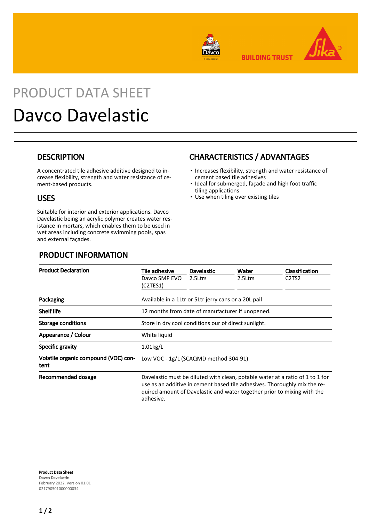

**BUILDING TRUST** 



# PRODUCT DATA SHEET Davco Davelastic

#### **DESCRIPTION**

A concentrated tile adhesive additive designed to increase flexibility, strength and water resistance of cement-based products.

#### USES

Suitable for interior and exterior applications. Davco Davelastic being an acrylic polymer creates water resistance in mortars, which enables them to be used in wet areas including concrete swimming pools, spas and external façades.

### PRODUCT INFORMATION

#### CHARACTERISTICS / ADVANTAGES

- **.** Increases flexibility, strength and water resistance of cement based tile adhesives
- **.** Ideal for submerged, façade and high foot traffic tiling applications
- Use when tiling over existing tiles

| <b>Product Declaration</b>                   | Tile adhesive<br>Davco SMP EVO<br>(C2TES1)                                                                                                                                                                                                         | <b>Davelastic</b><br>2.5Ltrs | Water<br>2.5Ltrs | <b>Classification</b><br>C <sub>2</sub> T <sub>S<sub>2</sub></sub> |
|----------------------------------------------|----------------------------------------------------------------------------------------------------------------------------------------------------------------------------------------------------------------------------------------------------|------------------------------|------------------|--------------------------------------------------------------------|
| Packaging                                    | Available in a 1Ltr or 5Ltr jerry cans or a 20L pail                                                                                                                                                                                               |                              |                  |                                                                    |
| <b>Shelf life</b>                            | 12 months from date of manufacturer if unopened.                                                                                                                                                                                                   |                              |                  |                                                                    |
| <b>Storage conditions</b>                    | Store in dry cool conditions our of direct sunlight.                                                                                                                                                                                               |                              |                  |                                                                    |
| Appearance / Colour                          | White liquid                                                                                                                                                                                                                                       |                              |                  |                                                                    |
| <b>Specific gravity</b>                      | $1.01$ kg/L                                                                                                                                                                                                                                        |                              |                  |                                                                    |
| Volatile organic compound (VOC) con-<br>tent | Low VOC - 1g/L (SCAQMD method 304-91)                                                                                                                                                                                                              |                              |                  |                                                                    |
| Recommended dosage                           | Davelastic must be diluted with clean, potable water at a ratio of 1 to 1 for<br>use as an additive in cement based tile adhesives. Thoroughly mix the re-<br>quired amount of Davelastic and water together prior to mixing with the<br>adhesive. |                              |                  |                                                                    |